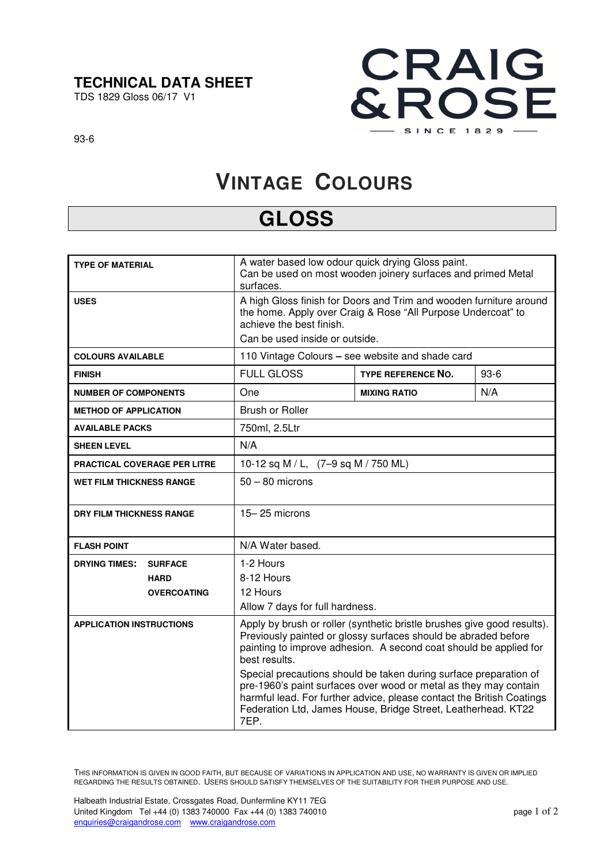### **TECHNICAL DATA SHEET**

TDS 1829 Gloss 06/17 V1



93-6

# **VINTAGE COLOURS**

## **GLOSS**

| <b>TYPE OF MATERIAL</b>                | A water based low odour quick drying Gloss paint.<br>Can be used on most wooden joinery surfaces and primed Metal<br>surfaces.                                                                                                                                                          |                           |        |
|----------------------------------------|-----------------------------------------------------------------------------------------------------------------------------------------------------------------------------------------------------------------------------------------------------------------------------------------|---------------------------|--------|
| <b>USES</b>                            | A high Gloss finish for Doors and Trim and wooden furniture around<br>the home. Apply over Craig & Rose "All Purpose Undercoat" to<br>achieve the best finish.<br>Can be used inside or outside.                                                                                        |                           |        |
| <b>COLOURS AVAILABLE</b>               | 110 Vintage Colours - see website and shade card                                                                                                                                                                                                                                        |                           |        |
| <b>FINISH</b>                          | <b>FULL GLOSS</b>                                                                                                                                                                                                                                                                       | <b>TYPE REFERENCE NO.</b> | $93-6$ |
| <b>NUMBER OF COMPONENTS</b>            | One                                                                                                                                                                                                                                                                                     | <b>MIXING RATIO</b>       | N/A    |
| <b>METHOD OF APPLICATION</b>           | <b>Brush or Roller</b>                                                                                                                                                                                                                                                                  |                           |        |
| <b>AVAILABLE PACKS</b>                 | 750ml, 2.5Ltr                                                                                                                                                                                                                                                                           |                           |        |
| <b>SHEEN LEVEL</b>                     | N/A                                                                                                                                                                                                                                                                                     |                           |        |
| <b>PRACTICAL COVERAGE PER LITRE</b>    | 10-12 sq M / L, (7-9 sq M / 750 ML)                                                                                                                                                                                                                                                     |                           |        |
| <b>WET FILM THICKNESS RANGE</b>        | $50 - 80$ microns                                                                                                                                                                                                                                                                       |                           |        |
| <b>DRY FILM THICKNESS RANGE</b>        | $15 - 25$ microns                                                                                                                                                                                                                                                                       |                           |        |
| <b>FLASH POINT</b>                     | N/A Water based.                                                                                                                                                                                                                                                                        |                           |        |
| <b>DRYING TIMES:</b><br><b>SURFACE</b> | 1-2 Hours                                                                                                                                                                                                                                                                               |                           |        |
| <b>HARD</b>                            | 8-12 Hours                                                                                                                                                                                                                                                                              |                           |        |
| <b>OVERCOATING</b>                     | 12 Hours                                                                                                                                                                                                                                                                                |                           |        |
|                                        | Allow 7 days for full hardness.                                                                                                                                                                                                                                                         |                           |        |
| <b>APPLICATION INSTRUCTIONS</b>        | Apply by brush or roller (synthetic bristle brushes give good results).<br>Previously painted or glossy surfaces should be abraded before<br>painting to improve adhesion. A second coat should be applied for<br>best results.                                                         |                           |        |
|                                        | Special precautions should be taken during surface preparation of<br>pre-1960's paint surfaces over wood or metal as they may contain<br>harmful lead. For further advice, please contact the British Coatings<br>Federation Ltd, James House, Bridge Street, Leatherhead. KT22<br>7EP. |                           |        |

THIS INFORMATION IS GIVEN IN GOOD FAITH, BUT BECAUSE OF VARIATIONS IN APPLICATION AND USE, NO WARRANTY IS GIVEN OR IMPLIED REGARDING THE RESULTS OBTAINED. USERS SHOULD SATISFY THEMSELVES OF THE SUITABILITY FOR THEIR PURPOSE AND USE.